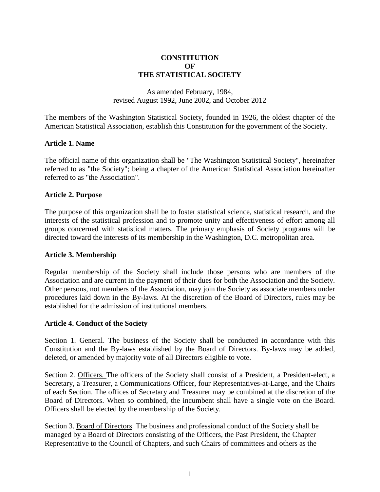# **CONSTITUTION OF THE STATISTICAL SOCIETY**

## As amended February, 1984, revised August 1992, June 2002, and October 2012

The members of the Washington Statistical Society, founded in 1926, the oldest chapter of the American Statistical Association, establish this Constitution for the government of the Society.

## **Article 1. Name**

The official name of this organization shall be "The Washington Statistical Society", hereinafter referred to as "the Society"; being a chapter of the American Statistical Association hereinafter referred to as "the Association".

## **Article 2. Purpose**

The purpose of this organization shall be to foster statistical science, statistical research, and the interests of the statistical profession and to promote unity and effectiveness of effort among all groups concerned with statistical matters. The primary emphasis of Society programs will be directed toward the interests of its membership in the Washington, D.C. metropolitan area.

#### **Article 3. Membership**

Regular membership of the Society shall include those persons who are members of the Association and are current in the payment of their dues for both the Association and the Society. Other persons, not members of the Association, may join the Society as associate members under procedures laid down in the By-laws. At the discretion of the Board of Directors, rules may be established for the admission of institutional members.

#### **Article 4. Conduct of the Society**

Section 1. General. The business of the Society shall be conducted in accordance with this Constitution and the By-laws established by the Board of Directors. By-laws may be added, deleted, or amended by majority vote of all Directors eligible to vote.

Section 2. Officers. The officers of the Society shall consist of a President, a President-elect, a Secretary, a Treasurer, a Communications Officer, four Representatives-at-Large, and the Chairs of each Section. The offices of Secretary and Treasurer may be combined at the discretion of the Board of Directors. When so combined, the incumbent shall have a single vote on the Board. Officers shall be elected by the membership of the Society.

Section 3. Board of Directors. The business and professional conduct of the Society shall be managed by a Board of Directors consisting of the Officers, the Past President, the Chapter Representative to the Council of Chapters, and such Chairs of committees and others as the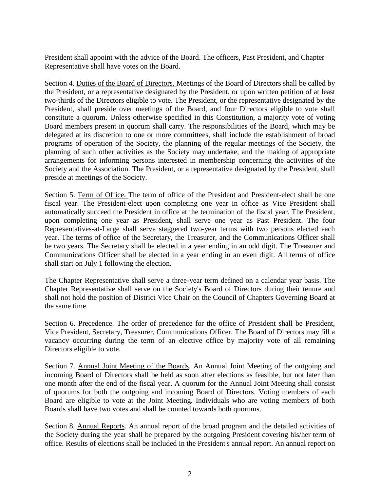President shall appoint with the advice of the Board. The officers, Past President, and Chapter Representative shall have votes on the Board.

Section 4. Duties of the Board of Directors. Meetings of the Board of Directors shall be called by the President, or a representative designated by the President, or upon written petition of at least two-thirds of the Directors eligible to vote. The President, or the representative designated by the President, shall preside over meetings of the Board, and four Directors eligible to vote shall constitute a quorum. Unless otherwise specified in this Constitution, a majority vote of voting Board members present in quorum shall carry. The responsibilities of the Board, which may be delegated at its discretion to one or more committees, shall include the establishment of broad programs of operation of the Society, the planning of the regular meetings of the Society, the planning of such other activities as the Society may undertake, and the making of appropriate arrangements for informing persons interested in membership concerning the activities of the Society and the Association. The President, or a representative designated by the President, shall preside at meetings of the Society.

Section 5. Term of Office. The term of office of the President and President-elect shall be one fiscal year. The President-elect upon completing one year in office as Vice President shall automatically succeed the President in office at the termination of the fiscal year. The President, upon completing one year as President, shall serve one year as Past President. The four Representatives-at-Large shall serve staggered two-year terms with two persons elected each year. The terms of office of the Secretary, the Treasurer, and the Communications Officer shall be two years. The Secretary shall be elected in a year ending in an odd digit. The Treasurer and Communications Officer shall be elected in a year ending in an even digit. All terms of office shall start on July 1 following the election.

The Chapter Representative shall serve a three-year term defined on a calendar year basis. The Chapter Representative shall serve on the Society's Board of Directors during their tenure and shall not hold the position of District Vice Chair on the Council of Chapters Governing Board at the same time.

Section 6. Precedence. The order of precedence for the office of President shall be President, Vice President, Secretary, Treasurer, Communications Officer. The Board of Directors may fill a vacancy occurring during the term of an elective office by majority vote of all remaining Directors eligible to vote.

Section 7. Annual Joint Meeting of the Boards. An Annual Joint Meeting of the outgoing and incoming Board of Directors shall be held as soon after elections as feasible, but not later than one month after the end of the fiscal year. A quorum for the Annual Joint Meeting shall consist of quorums for both the outgoing and incoming Board of Directors. Voting members of each Board are eligible to vote at the Joint Meeting. Individuals who are voting members of both Boards shall have two votes and shall be counted towards both quorums.

Section 8. Annual Reports. An annual report of the broad program and the detailed activities of the Society during the year shall be prepared by the outgoing President covering his/her term of office. Results of elections shall be included in the President's annual report. An annual report on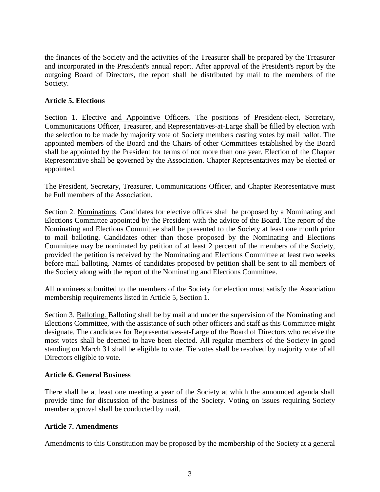the finances of the Society and the activities of the Treasurer shall be prepared by the Treasurer and incorporated in the President's annual report. After approval of the President's report by the outgoing Board of Directors, the report shall be distributed by mail to the members of the Society.

# **Article 5. Elections**

Section 1. Elective and Appointive Officers. The positions of President-elect, Secretary, Communications Officer, Treasurer, and Representatives-at-Large shall be filled by election with the selection to be made by majority vote of Society members casting votes by mail ballot. The appointed members of the Board and the Chairs of other Committees established by the Board shall be appointed by the President for terms of not more than one year. Election of the Chapter Representative shall be governed by the Association. Chapter Representatives may be elected or appointed.

The President, Secretary, Treasurer, Communications Officer, and Chapter Representative must be Full members of the Association.

Section 2. Nominations. Candidates for elective offices shall be proposed by a Nominating and Elections Committee appointed by the President with the advice of the Board. The report of the Nominating and Elections Committee shall be presented to the Society at least one month prior to mail balloting. Candidates other than those proposed by the Nominating and Elections Committee may be nominated by petition of at least 2 percent of the members of the Society, provided the petition is received by the Nominating and Elections Committee at least two weeks before mail balloting. Names of candidates proposed by petition shall be sent to all members of the Society along with the report of the Nominating and Elections Committee.

All nominees submitted to the members of the Society for election must satisfy the Association membership requirements listed in Article 5, Section 1.

Section 3. Balloting. Balloting shall be by mail and under the supervision of the Nominating and Elections Committee, with the assistance of such other officers and staff as this Committee might designate. The candidates for Representatives-at-Large of the Board of Directors who receive the most votes shall be deemed to have been elected. All regular members of the Society in good standing on March 31 shall be eligible to vote. Tie votes shall be resolved by majority vote of all Directors eligible to vote.

# **Article 6. General Business**

There shall be at least one meeting a year of the Society at which the announced agenda shall provide time for discussion of the business of the Society. Voting on issues requiring Society member approval shall be conducted by mail.

# **Article 7. Amendments**

Amendments to this Constitution may be proposed by the membership of the Society at a general